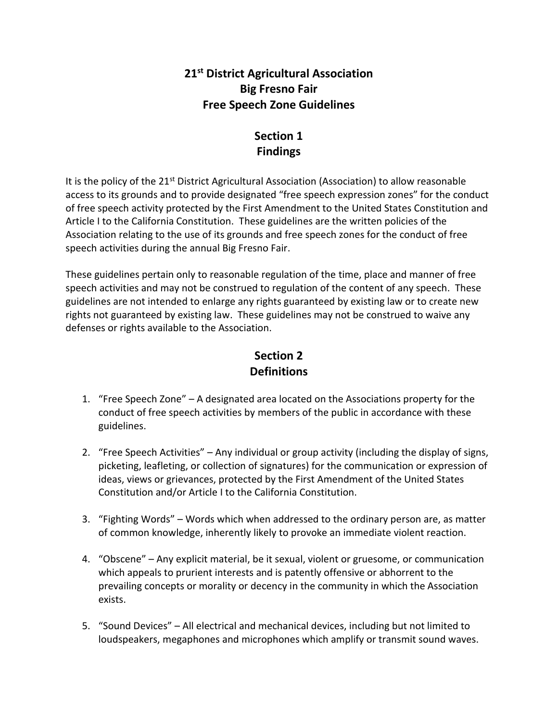### **21st District Agricultural Association Big Fresno Fair Free Speech Zone Guidelines**

# **Section 1 Findings**

It is the policy of the 21<sup>st</sup> District Agricultural Association (Association) to allow reasonable access to its grounds and to provide designated "free speech expression zones" for the conduct of free speech activity protected by the First Amendment to the United States Constitution and Article I to the California Constitution. These guidelines are the written policies of the Association relating to the use of its grounds and free speech zones for the conduct of free speech activities during the annual Big Fresno Fair.

These guidelines pertain only to reasonable regulation of the time, place and manner of free speech activities and may not be construed to regulation of the content of any speech. These guidelines are not intended to enlarge any rights guaranteed by existing law or to create new rights not guaranteed by existing law. These guidelines may not be construed to waive any defenses or rights available to the Association.

# **Section 2 Definitions**

- 1. "Free Speech Zone" A designated area located on the Associations property for the conduct of free speech activities by members of the public in accordance with these guidelines.
- 2. "Free Speech Activities" Any individual or group activity (including the display of signs, picketing, leafleting, or collection of signatures) for the communication or expression of ideas, views or grievances, protected by the First Amendment of the United States Constitution and/or Article I to the California Constitution.
- 3. "Fighting Words" Words which when addressed to the ordinary person are, as matter of common knowledge, inherently likely to provoke an immediate violent reaction.
- 4. "Obscene" Any explicit material, be it sexual, violent or gruesome, or communication which appeals to prurient interests and is patently offensive or abhorrent to the prevailing concepts or morality or decency in the community in which the Association exists.
- 5. "Sound Devices" All electrical and mechanical devices, including but not limited to loudspeakers, megaphones and microphones which amplify or transmit sound waves.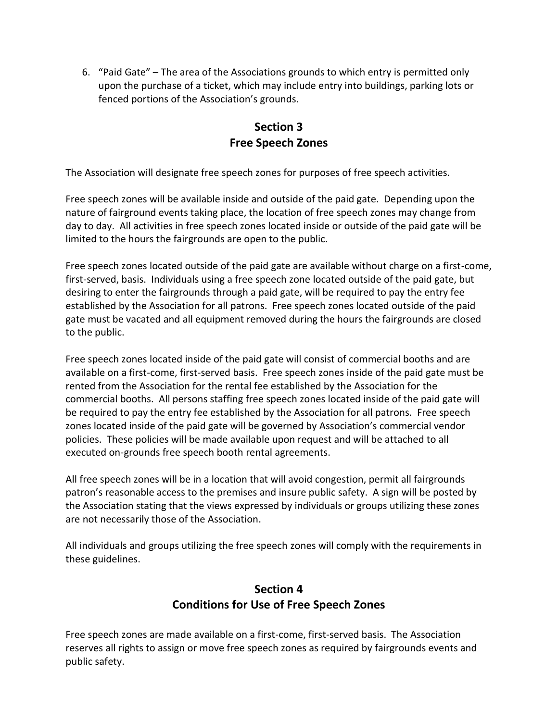6. "Paid Gate" – The area of the Associations grounds to which entry is permitted only upon the purchase of a ticket, which may include entry into buildings, parking lots or fenced portions of the Association's grounds.

# **Section 3 Free Speech Zones**

The Association will designate free speech zones for purposes of free speech activities.

Free speech zones will be available inside and outside of the paid gate. Depending upon the nature of fairground events taking place, the location of free speech zones may change from day to day. All activities in free speech zones located inside or outside of the paid gate will be limited to the hours the fairgrounds are open to the public.

Free speech zones located outside of the paid gate are available without charge on a first-come, first-served, basis. Individuals using a free speech zone located outside of the paid gate, but desiring to enter the fairgrounds through a paid gate, will be required to pay the entry fee established by the Association for all patrons. Free speech zones located outside of the paid gate must be vacated and all equipment removed during the hours the fairgrounds are closed to the public.

Free speech zones located inside of the paid gate will consist of commercial booths and are available on a first-come, first-served basis. Free speech zones inside of the paid gate must be rented from the Association for the rental fee established by the Association for the commercial booths. All persons staffing free speech zones located inside of the paid gate will be required to pay the entry fee established by the Association for all patrons. Free speech zones located inside of the paid gate will be governed by Association's commercial vendor policies. These policies will be made available upon request and will be attached to all executed on-grounds free speech booth rental agreements.

All free speech zones will be in a location that will avoid congestion, permit all fairgrounds patron's reasonable access to the premises and insure public safety. A sign will be posted by the Association stating that the views expressed by individuals or groups utilizing these zones are not necessarily those of the Association.

All individuals and groups utilizing the free speech zones will comply with the requirements in these guidelines.

# **Section 4 Conditions for Use of Free Speech Zones**

Free speech zones are made available on a first-come, first-served basis. The Association reserves all rights to assign or move free speech zones as required by fairgrounds events and public safety.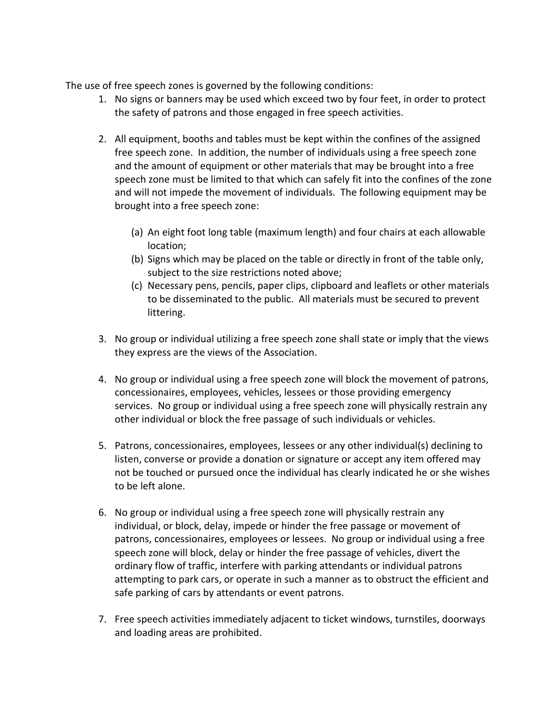The use of free speech zones is governed by the following conditions:

- 1. No signs or banners may be used which exceed two by four feet, in order to protect the safety of patrons and those engaged in free speech activities.
- 2. All equipment, booths and tables must be kept within the confines of the assigned free speech zone. In addition, the number of individuals using a free speech zone and the amount of equipment or other materials that may be brought into a free speech zone must be limited to that which can safely fit into the confines of the zone and will not impede the movement of individuals. The following equipment may be brought into a free speech zone:
	- (a) An eight foot long table (maximum length) and four chairs at each allowable location;
	- (b) Signs which may be placed on the table or directly in front of the table only, subject to the size restrictions noted above;
	- (c) Necessary pens, pencils, paper clips, clipboard and leaflets or other materials to be disseminated to the public. All materials must be secured to prevent littering.
- 3. No group or individual utilizing a free speech zone shall state or imply that the views they express are the views of the Association.
- 4. No group or individual using a free speech zone will block the movement of patrons, concessionaires, employees, vehicles, lessees or those providing emergency services. No group or individual using a free speech zone will physically restrain any other individual or block the free passage of such individuals or vehicles.
- 5. Patrons, concessionaires, employees, lessees or any other individual(s) declining to listen, converse or provide a donation or signature or accept any item offered may not be touched or pursued once the individual has clearly indicated he or she wishes to be left alone.
- 6. No group or individual using a free speech zone will physically restrain any individual, or block, delay, impede or hinder the free passage or movement of patrons, concessionaires, employees or lessees. No group or individual using a free speech zone will block, delay or hinder the free passage of vehicles, divert the ordinary flow of traffic, interfere with parking attendants or individual patrons attempting to park cars, or operate in such a manner as to obstruct the efficient and safe parking of cars by attendants or event patrons.
- 7. Free speech activities immediately adjacent to ticket windows, turnstiles, doorways and loading areas are prohibited.